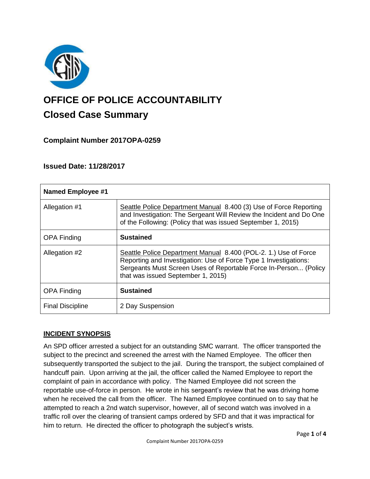

# **OFFICE OF POLICE ACCOUNTABILITY**

# **Closed Case Summary**

## **Complaint Number 2017OPA-0259**

## **Issued Date: 11/28/2017**

| <b>Named Employee #1</b> |                                                                                                                                                                                                                                               |
|--------------------------|-----------------------------------------------------------------------------------------------------------------------------------------------------------------------------------------------------------------------------------------------|
| Allegation #1            | Seattle Police Department Manual 8.400 (3) Use of Force Reporting<br>and Investigation: The Sergeant Will Review the Incident and Do One<br>of the Following: (Policy that was issued September 1, 2015)                                      |
| <b>OPA Finding</b>       | <b>Sustained</b>                                                                                                                                                                                                                              |
| Allegation #2            | Seattle Police Department Manual 8.400 (POL-2. 1.) Use of Force<br>Reporting and Investigation: Use of Force Type 1 Investigations:<br>Sergeants Must Screen Uses of Reportable Force In-Person (Policy<br>that was issued September 1, 2015) |
| <b>OPA Finding</b>       | <b>Sustained</b>                                                                                                                                                                                                                              |
| <b>Final Discipline</b>  | 2 Day Suspension                                                                                                                                                                                                                              |

#### **INCIDENT SYNOPSIS**

An SPD officer arrested a subject for an outstanding SMC warrant. The officer transported the subject to the precinct and screened the arrest with the Named Employee. The officer then subsequently transported the subject to the jail. During the transport, the subject complained of handcuff pain. Upon arriving at the jail, the officer called the Named Employee to report the complaint of pain in accordance with policy. The Named Employee did not screen the reportable use-of-force in person. He wrote in his sergeant's review that he was driving home when he received the call from the officer. The Named Employee continued on to say that he attempted to reach a 2nd watch supervisor, however, all of second watch was involved in a traffic roll over the clearing of transient camps ordered by SFD and that it was impractical for him to return. He directed the officer to photograph the subject's wrists.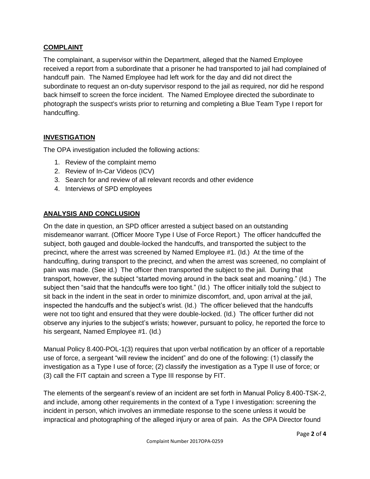#### **COMPLAINT**

The complainant, a supervisor within the Department, alleged that the Named Employee received a report from a subordinate that a prisoner he had transported to jail had complained of handcuff pain. The Named Employee had left work for the day and did not direct the subordinate to request an on-duty supervisor respond to the jail as required, nor did he respond back himself to screen the force incident. The Named Employee directed the subordinate to photograph the suspect's wrists prior to returning and completing a Blue Team Type I report for handcuffing.

#### **INVESTIGATION**

The OPA investigation included the following actions:

- 1. Review of the complaint memo
- 2. Review of In-Car Videos (ICV)
- 3. Search for and review of all relevant records and other evidence
- 4. Interviews of SPD employees

#### **ANALYSIS AND CONCLUSION**

On the date in question, an SPD officer arrested a subject based on an outstanding misdemeanor warrant. (Officer Moore Type I Use of Force Report.) The officer handcuffed the subject, both gauged and double-locked the handcuffs, and transported the subject to the precinct, where the arrest was screened by Named Employee #1. (Id.) At the time of the handcuffing, during transport to the precinct, and when the arrest was screened, no complaint of pain was made. (See id.) The officer then transported the subject to the jail. During that transport, however, the subject "started moving around in the back seat and moaning." (Id.) The subject then "said that the handcuffs were too tight." (Id.) The officer initially told the subject to sit back in the indent in the seat in order to minimize discomfort, and, upon arrival at the jail, inspected the handcuffs and the subject's wrist. (Id.) The officer believed that the handcuffs were not too tight and ensured that they were double-locked. (Id.) The officer further did not observe any injuries to the subject's wrists; however, pursuant to policy, he reported the force to his sergeant, Named Employee #1. (Id.)

Manual Policy 8.400-POL-1(3) requires that upon verbal notification by an officer of a reportable use of force, a sergeant "will review the incident" and do one of the following: (1) classify the investigation as a Type I use of force; (2) classify the investigation as a Type II use of force; or (3) call the FIT captain and screen a Type III response by FIT.

The elements of the sergeant's review of an incident are set forth in Manual Policy 8.400-TSK-2, and include, among other requirements in the context of a Type I investigation: screening the incident in person, which involves an immediate response to the scene unless it would be impractical and photographing of the alleged injury or area of pain. As the OPA Director found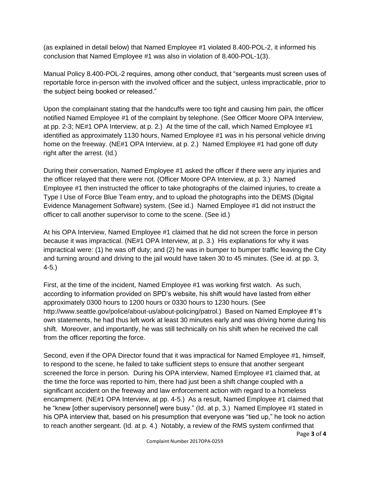(as explained in detail below) that Named Employee #1 violated 8.400-POL-2, it informed his conclusion that Named Employee #1 was also in violation of 8.400-POL-1(3).

Manual Policy 8.400-POL-2 requires, among other conduct, that "sergeants must screen uses of reportable force in-person with the involved officer and the subject, unless impracticable, prior to the subject being booked or released."

Upon the complainant stating that the handcuffs were too tight and causing him pain, the officer notified Named Employee #1 of the complaint by telephone. (See Officer Moore OPA Interview, at pp. 2-3; NE#1 OPA Interview, at p. 2.) At the time of the call, which Named Employee #1 identified as approximately 1130 hours, Named Employee #1 was in his personal vehicle driving home on the freeway. (NE#1 OPA Interview, at p. 2.) Named Employee #1 had gone off duty right after the arrest. (Id.)

During their conversation, Named Employee #1 asked the officer if there were any injuries and the officer relayed that there were not. (Officer Moore OPA Interview, at p. 3.) Named Employee #1 then instructed the officer to take photographs of the claimed injuries, to create a Type I Use of Force Blue Team entry, and to upload the photographs into the DEMS (Digital Evidence Management Software) system. (See id.) Named Employee #1 did not instruct the officer to call another supervisor to come to the scene. (See id.)

At his OPA Interview, Named Employee #1 claimed that he did not screen the force in person because it was impractical. (NE#1 OPA Interview, at p. 3.) His explanations for why it was impractical were: (1) he was off duty; and (2) he was in bumper to bumper traffic leaving the City and turning around and driving to the jail would have taken 30 to 45 minutes. (See id. at pp. 3, 4-5.)

First, at the time of the incident, Named Employee #1 was working first watch. As such, according to information provided on SPD's website, his shift would have lasted from either approximately 0300 hours to 1200 hours or 0330 hours to 1230 hours. (See http://www.seattle.gov/police/about-us/about-policing/patrol.) Based on Named Employee #1's own statements, he had thus left work at least 30 minutes early and was driving home during his shift. Moreover, and importantly, he was still technically on his shift when he received the call from the officer reporting the force.

Second, even if the OPA Director found that it was impractical for Named Employee #1, himself, to respond to the scene, he failed to take sufficient steps to ensure that another sergeant screened the force in person. During his OPA interview, Named Employee #1 claimed that, at the time the force was reported to him, there had just been a shift change coupled with a significant accident on the freeway and law enforcement action with regard to a homeless encampment. (NE#1 OPA Interview, at pp. 4-5.) As a result, Named Employee #1 claimed that he "knew [other supervisory personnel] were busy." (Id. at p. 3.) Named Employee #1 stated in his OPA interview that, based on his presumption that everyone was "tied up," he took no action to reach another sergeant. (Id. at p. 4.) Notably, a review of the RMS system confirmed that